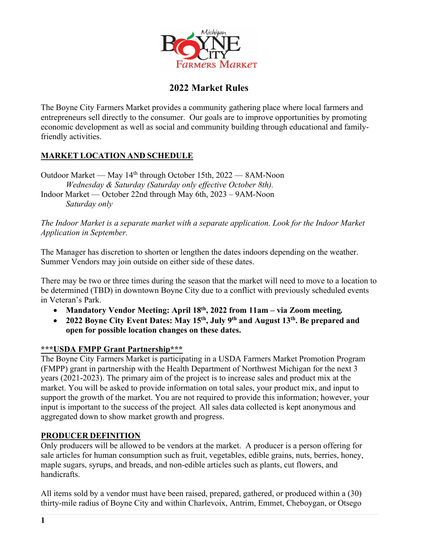

# **2022 Market Rules**

The Boyne City Farmers Market provides a community gathering place where local farmers and entrepreneurs sell directly to the consumer. Our goals are to improve opportunities by promoting economic development as well as social and community building through educational and familyfriendly activities.

## **MARKET LOCATION AND SCHEDULE**

Outdoor Market — May 14th through October 15th, 2022 — 8AM-Noon *Wednesday & Saturday (Saturday only effective October 8th).*

Indoor Market — October 22nd through May 6th, 2023 – 9AM-Noon *Saturday only*

*The Indoor Market is a separate market with a separate application. Look for the Indoor Market Application in September.* 

The Manager has discretion to shorten or lengthen the dates indoors depending on the weather. Summer Vendors may join outside on either side of these dates.

There may be two or three times during the season that the market will need to move to a location to be determined (TBD) in downtown Boyne City due to a conflict with previously scheduled events in Veteran's Park.

- **Mandatory Vendor Meeting: April 18th, 2022 from 11am – via Zoom meeting***.*
- **2022 Boyne City Event Dates: May 15th, July 9th and August 13th. Be prepared and open for possible location changes on these dates.**

#### **\*\*\*USDA FMPP Grant Partnership\*\*\***

The Boyne City Farmers Market is participating in a USDA Farmers Market Promotion Program (FMPP) grant in partnership with the Health Department of Northwest Michigan for the next 3 years (2021-2023). The primary aim of the project is to increase sales and product mix at the market. You will be asked to provide information on total sales, your product mix, and input to support the growth of the market. You are not required to provide this information; however, your input is important to the success of the project*.* All sales data collected is kept anonymous and aggregated down to show market growth and progress.

#### **PRODUCER DEFINITION**

Only producers will be allowed to be vendors at the market. A producer is a person offering for sale articles for human consumption such as fruit, vegetables, edible grains, nuts, berries, honey, maple sugars, syrups, and breads, and non-edible articles such as plants, cut flowers, and handicrafts.

All items sold by a vendor must have been raised, prepared, gathered, or produced within a (30) thirty-mile radius of Boyne City and within Charlevoix, Antrim, Emmet, Cheboygan, or Otsego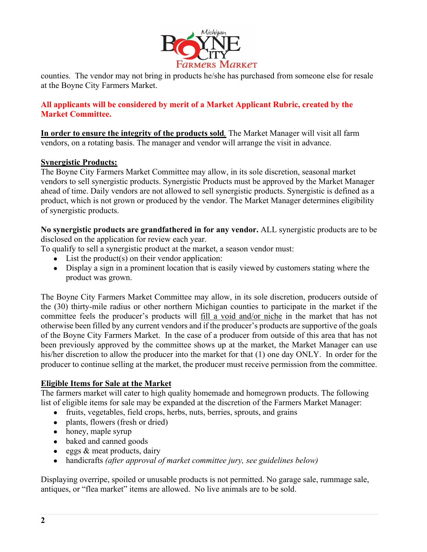

counties. The vendor may not bring in products he/she has purchased from someone else for resale at the Boyne City Farmers Market.

### **All applicants will be considered by merit of a Market Applicant Rubric, created by the Market Committee.**

**In order to ensure the integrity of the products sold***,* The Market Manager will visit all farm vendors, on a rotating basis. The manager and vendor will arrange the visit in advance.

#### **Synergistic Products:**

The Boyne City Farmers Market Committee may allow, in its sole discretion, seasonal market vendors to sell synergistic products. Synergistic Products must be approved by the Market Manager ahead of time. Daily vendors are not allowed to sell synergistic products. Synergistic is defined as a product, which is not grown or produced by the vendor. The Market Manager determines eligibility of synergistic products.

**No synergistic products are grandfathered in for any vendor.** ALL synergistic products are to be disclosed on the application for review each year.

To qualify to sell a synergistic product at the market, a season vendor must:

- $\bullet$  List the product(s) on their vendor application:
- Display a sign in a prominent location that is easily viewed by customers stating where the product was grown.

The Boyne City Farmers Market Committee may allow, in its sole discretion, producers outside of the (30) thirty-mile radius or other northern Michigan counties to participate in the market if the committee feels the producer's products will fill a void and/or niche in the market that has not otherwise been filled by any current vendors and if the producer's products are supportive of the goals of the Boyne City Farmers Market. In the case of a producer from outside of this area that has not been previously approved by the committee shows up at the market, the Market Manager can use his/her discretion to allow the producer into the market for that (1) one day ONLY. In order for the producer to continue selling at the market, the producer must receive permission from the committee.

#### **Eligible Items for Sale at the Market**

The farmers market will cater to high quality homemade and homegrown products. The following list of eligible items for sale may be expanded at the discretion of the Farmers Market Manager:

- fruits, vegetables, field crops, herbs, nuts, berries, sprouts, and grains
- plants, flowers (fresh or dried)
- honey, maple syrup
- baked and canned goods
- $\bullet$  eggs  $\&$  meat products, dairy
- handicrafts *(after approval of market committee jury, see guidelines below)*

Displaying overripe, spoiled or unusable products is not permitted. No garage sale, rummage sale, antiques, or "flea market" items are allowed. No live animals are to be sold.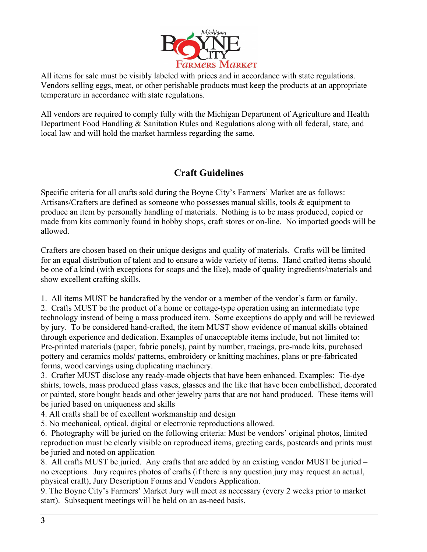

All items for sale must be visibly labeled with prices and in accordance with state regulations. Vendors selling eggs, meat, or other perishable products must keep the products at an appropriate temperature in accordance with state regulations.

All vendors are required to comply fully with the Michigan Department of Agriculture and Health Department Food Handling & Sanitation Rules and Regulations along with all federal, state, and local law and will hold the market harmless regarding the same.

# **Craft Guidelines**

Specific criteria for all crafts sold during the Boyne City's Farmers' Market are as follows: Artisans/Crafters are defined as someone who possesses manual skills, tools & equipment to produce an item by personally handling of materials. Nothing is to be mass produced, copied or made from kits commonly found in hobby shops, craft stores or on-line. No imported goods will be allowed.

Crafters are chosen based on their unique designs and quality of materials. Crafts will be limited for an equal distribution of talent and to ensure a wide variety of items. Hand crafted items should be one of a kind (with exceptions for soaps and the like), made of quality ingredients/materials and show excellent crafting skills.

1. All items MUST be handcrafted by the vendor or a member of the vendor's farm or family.

2. Crafts MUST be the product of a home or cottage-type operation using an intermediate type technology instead of being a mass produced item. Some exceptions do apply and will be reviewed by jury. To be considered hand-crafted, the item MUST show evidence of manual skills obtained through experience and dedication. Examples of unacceptable items include, but not limited to: Pre-printed materials (paper, fabric panels), paint by number, tracings, pre-made kits, purchased pottery and ceramics molds/ patterns, embroidery or knitting machines, plans or pre-fabricated forms, wood carvings using duplicating machinery.

3. Crafter MUST disclose any ready-made objects that have been enhanced. Examples: Tie-dye shirts, towels, mass produced glass vases, glasses and the like that have been embellished, decorated or painted, store bought beads and other jewelry parts that are not hand produced. These items will be juried based on uniqueness and skills

4. All crafts shall be of excellent workmanship and design

5. No mechanical, optical, digital or electronic reproductions allowed.

6. Photography will be juried on the following criteria: Must be vendors' original photos, limited reproduction must be clearly visible on reproduced items, greeting cards, postcards and prints must be juried and noted on application

8. All crafts MUST be juried. Any crafts that are added by an existing vendor MUST be juried – no exceptions. Jury requires photos of crafts (if there is any question jury may request an actual, physical craft), Jury Description Forms and Vendors Application.

9. The Boyne City's Farmers' Market Jury will meet as necessary (every 2 weeks prior to market start). Subsequent meetings will be held on an as-need basis.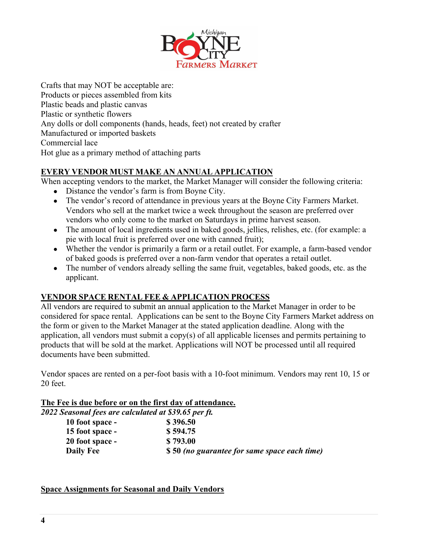

Crafts that may NOT be acceptable are: Products or pieces assembled from kits Plastic beads and plastic canvas Plastic or synthetic flowers Any dolls or doll components (hands, heads, feet) not created by crafter Manufactured or imported baskets Commercial lace Hot glue as a primary method of attaching parts

## **EVERY VENDOR MUST MAKE AN ANNUAL APPLICATION**

When accepting vendors to the market, the Market Manager will consider the following criteria:

- Distance the vendor's farm is from Boyne City.
- The vendor's record of attendance in previous years at the Boyne City Farmers Market. Vendors who sell at the market twice a week throughout the season are preferred over vendors who only come to the market on Saturdays in prime harvest season.
- The amount of local ingredients used in baked goods, jellies, relishes, etc. (for example: a pie with local fruit is preferred over one with canned fruit);
- Whether the vendor is primarily a farm or a retail outlet. For example, a farm-based vendor of baked goods is preferred over a non-farm vendor that operates a retail outlet.
- The number of vendors already selling the same fruit, vegetables, baked goods, etc. as the applicant.

# **VENDOR SPACE RENTAL FEE & APPLICATION PROCESS**

All vendors are required to submit an annual application to the Market Manager in order to be considered for space rental. Applications can be sent to the Boyne City Farmers Market address on the form or given to the Market Manager at the stated application deadline. Along with the application, all vendors must submit a copy(s) of all applicable licenses and permits pertaining to products that will be sold at the market. Applications will NOT be processed until all required documents have been submitted.

Vendor spaces are rented on a per-foot basis with a 10-foot minimum. Vendors may rent 10, 15 or 20 feet.

#### **The Fee is due before or on the first day of attendance.**

| 2022 Seasonal fees are calculated at \$39.65 per ft. |                                              |
|------------------------------------------------------|----------------------------------------------|
| 10 foot space -                                      | \$396.50                                     |
| 15 foot space -                                      | \$594.75                                     |
| 20 foot space -                                      | \$793.00                                     |
| <b>Daily Fee</b>                                     | \$50 (no guarantee for same space each time) |

#### **Space Assignments for Seasonal and Daily Vendors**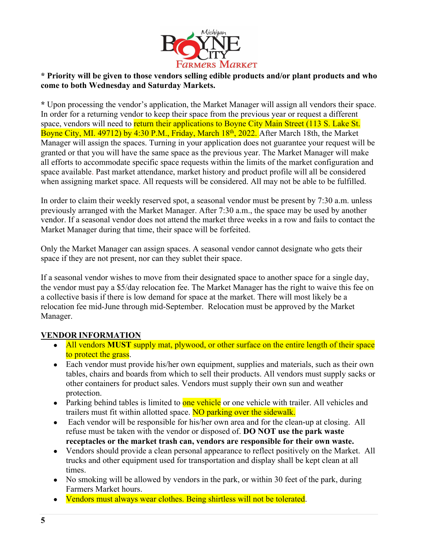

### **\* Priority will be given to those vendors selling edible products and/or plant products and who come to both Wednesday and Saturday Markets.**

**\*** Upon processing the vendor's application, the Market Manager will assign all vendors their space. In order for a returning vendor to keep their space from the previous year or request a different space, vendors will need to return their applications to Boyne City Main Street (113 S. Lake St. Boyne City, MI. 49712) by 4:30 P.M., Friday, March 18<sup>th</sup>, 2022. After March 18th, the Market Manager will assign the spaces. Turning in your application does not guarantee your request will be granted or that you will have the same space as the previous year. The Market Manager will make all efforts to accommodate specific space requests within the limits of the market configuration and space available. Past market attendance, market history and product profile will all be considered when assigning market space. All requests will be considered. All may not be able to be fulfilled.

In order to claim their weekly reserved spot, a seasonal vendor must be present by 7:30 a.m. unless previously arranged with the Market Manager. After 7:30 a.m., the space may be used by another vendor. If a seasonal vendor does not attend the market three weeks in a row and fails to contact the Market Manager during that time, their space will be forfeited.

Only the Market Manager can assign spaces. A seasonal vendor cannot designate who gets their space if they are not present, nor can they sublet their space.

If a seasonal vendor wishes to move from their designated space to another space for a single day, the vendor must pay a \$5/day relocation fee. The Market Manager has the right to waive this fee on a collective basis if there is low demand for space at the market. There will most likely be a relocation fee mid-June through mid-September. Relocation must be approved by the Market Manager.

#### **VENDOR INFORMATION**

- All vendors **MUST** supply mat, plywood, or other surface on the entire length of their space to protect the grass.
- Each vendor must provide his/her own equipment, supplies and materials, such as their own tables, chairs and boards from which to sell their products. All vendors must supply sacks or other containers for product sales. Vendors must supply their own sun and weather protection.
- Parking behind tables is limited to one vehicle or one vehicle with trailer. All vehicles and trailers must fit within allotted space. NO parking over the sidewalk.
- Each vendor will be responsible for his/her own area and for the clean-up at closing. All refuse must be taken with the vendor or disposed of. **DO NOT use the park waste receptacles or the market trash can, vendors are responsible for their own waste.**
- Vendors should provide a clean personal appearance to reflect positively on the Market. All trucks and other equipment used for transportation and display shall be kept clean at all times.
- No smoking will be allowed by vendors in the park, or within 30 feet of the park, during Farmers Market hours.
- Vendors must always wear clothes. Being shirtless will not be tolerated.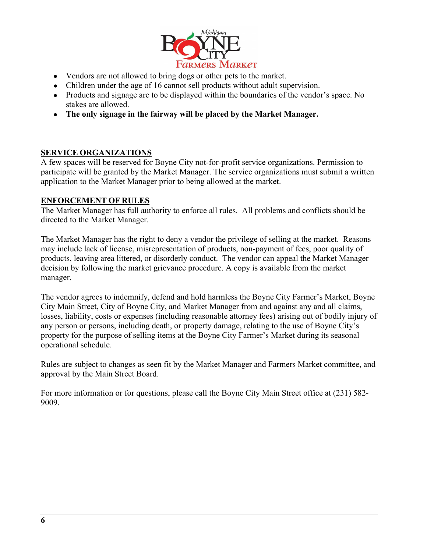

- Vendors are not allowed to bring dogs or other pets to the market.
- Children under the age of 16 cannot sell products without adult supervision.
- Products and signage are to be displayed within the boundaries of the vendor's space. No stakes are allowed.
- **The only signage in the fairway will be placed by the Market Manager.**

#### **SERVICE ORGANIZATIONS**

A few spaces will be reserved for Boyne City not-for-profit service organizations. Permission to participate will be granted by the Market Manager. The service organizations must submit a written application to the Market Manager prior to being allowed at the market.

#### **ENFORCEMENT OF RULES**

The Market Manager has full authority to enforce all rules. All problems and conflicts should be directed to the Market Manager.

The Market Manager has the right to deny a vendor the privilege of selling at the market. Reasons may include lack of license, misrepresentation of products, non-payment of fees, poor quality of products, leaving area littered, or disorderly conduct. The vendor can appeal the Market Manager decision by following the market grievance procedure. A copy is available from the market manager.

The vendor agrees to indemnify, defend and hold harmless the Boyne City Farmer's Market, Boyne City Main Street, City of Boyne City, and Market Manager from and against any and all claims, losses, liability, costs or expenses (including reasonable attorney fees) arising out of bodily injury of any person or persons, including death, or property damage, relating to the use of Boyne City's property for the purpose of selling items at the Boyne City Farmer's Market during its seasonal operational schedule.

Rules are subject to changes as seen fit by the Market Manager and Farmers Market committee, and approval by the Main Street Board.

For more information or for questions, please call the Boyne City Main Street office at (231) 582- 9009.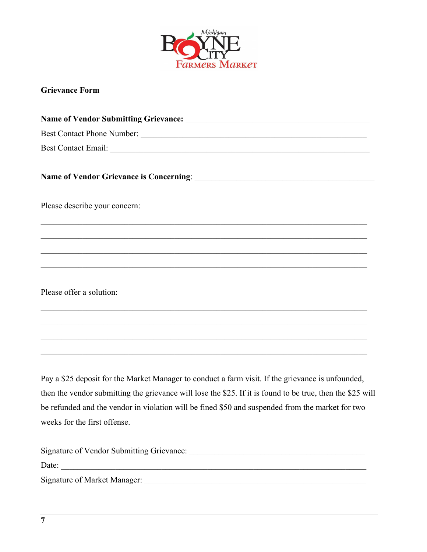

# **Grievance Form**

| Please describe your concern:                                                                                        |
|----------------------------------------------------------------------------------------------------------------------|
| ,我们也不能在这里的时候,我们也不能在这里的时候,我们也不能会在这里的时候,我们也不能会在这里的时候,我们也不能会在这里的时候,我们也不能会在这里的时候,我们也                                     |
| <u> 1999 - 1999 - 1999 - 1999 - 1999 - 1999 - 1999 - 1999 - 1999 - 1999 - 1999 - 1999 - 1999 - 1999 - 1999 - 199</u> |
|                                                                                                                      |
| Please offer a solution:                                                                                             |
|                                                                                                                      |
|                                                                                                                      |
|                                                                                                                      |
| Pay a \$25 deposit for the Market Manager to conduct a farm visit. If the grievance is unfounded,                    |
| then the vendor submitting the grievance will lose the \$25. If it is found to be true, then the \$25 will           |
| be refunded and the vendor in violation will be fined \$50 and suspended from the market for two                     |

weeks for the first offense.

| Signature of Vendor Submitting Grievance: |
|-------------------------------------------|
| Date:                                     |
| Signature of Market Manager:              |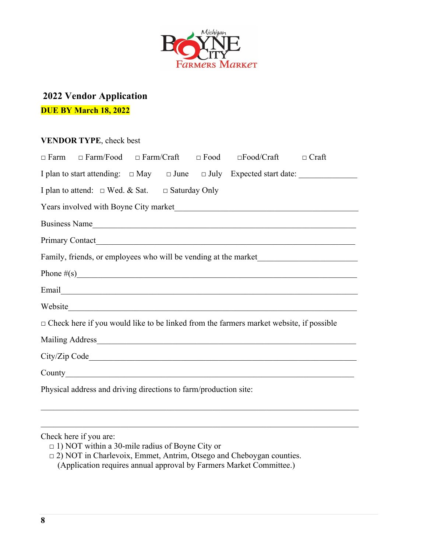

# **2022 Vendor Application DUE BY March 18, 2022**

### **VENDOR TYPE**, check best

| $\Box$ Farm $\Box$ Farm/Food $\Box$ Farm/Craft $\Box$ Food $\Box$ Food/Craft<br>$\Box$ Craft  |  |  |  |  |  |  |
|-----------------------------------------------------------------------------------------------|--|--|--|--|--|--|
|                                                                                               |  |  |  |  |  |  |
| I plan to attend: $\Box$ Wed. & Sat. $\Box$ Saturday Only                                     |  |  |  |  |  |  |
|                                                                                               |  |  |  |  |  |  |
| Business Name                                                                                 |  |  |  |  |  |  |
|                                                                                               |  |  |  |  |  |  |
| Family, friends, or employees who will be vending at the market                               |  |  |  |  |  |  |
|                                                                                               |  |  |  |  |  |  |
|                                                                                               |  |  |  |  |  |  |
| Website                                                                                       |  |  |  |  |  |  |
| $\Box$ Check here if you would like to be linked from the farmers market website, if possible |  |  |  |  |  |  |
| Mailing Address Management of the Mailing Address                                             |  |  |  |  |  |  |
|                                                                                               |  |  |  |  |  |  |
|                                                                                               |  |  |  |  |  |  |
| Physical address and driving directions to farm/production site:                              |  |  |  |  |  |  |

### Check here if you are:

- □ 1) NOT within a 30-mile radius of Boyne City or
- □ 2) NOT in Charlevoix, Emmet, Antrim, Otsego and Cheboygan counties.
- (Application requires annual approval by Farmers Market Committee.)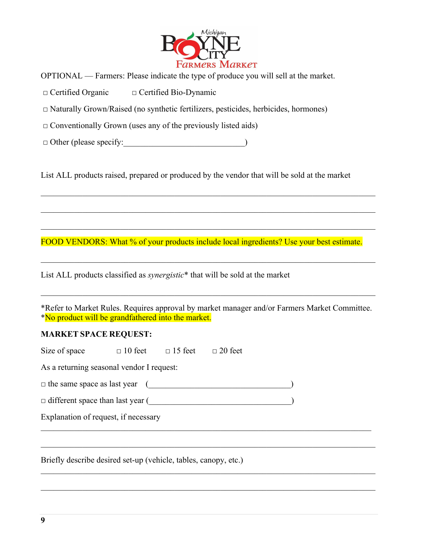

OPTIONAL — Farmers: Please indicate the type of produce you will sell at the market.

□ Certified Organic □ Certified Bio-Dynamic

 $\Box$  Naturally Grown/Raised (no synthetic fertilizers, pesticides, herbicides, hormones)

 $\Box$  Conventionally Grown (uses any of the previously listed aids)

□ Other (please specify:\_\_\_\_\_\_\_\_\_\_\_\_\_\_\_\_\_\_\_\_\_\_\_\_\_\_\_\_\_)

List ALL products raised, prepared or produced by the vendor that will be sold at the market

FOOD VENDORS: What % of your products include local ingredients? Use your best estimate.

List ALL products classified as *synergistic*\* that will be sold at the market

\*Refer to Market Rules. Requires approval by market manager and/or Farmers Market Committee. \*No product will be grandfathered into the market.

#### **MARKET SPACE REQUEST:**

| Size of space                             | $\Box$ 10 feet | $\Box$ 15 feet | $\Box$ 20 feet |  |
|-------------------------------------------|----------------|----------------|----------------|--|
| As a returning seasonal vendor I request: |                |                |                |  |
| $\Box$ the same space as last year (      |                |                |                |  |
| $\Box$ different space than last year (   |                |                |                |  |
| Explanation of request, if necessary      |                |                |                |  |
|                                           |                |                |                |  |
|                                           |                |                |                |  |

Briefly describe desired set-up (vehicle, tables, canopy, etc.)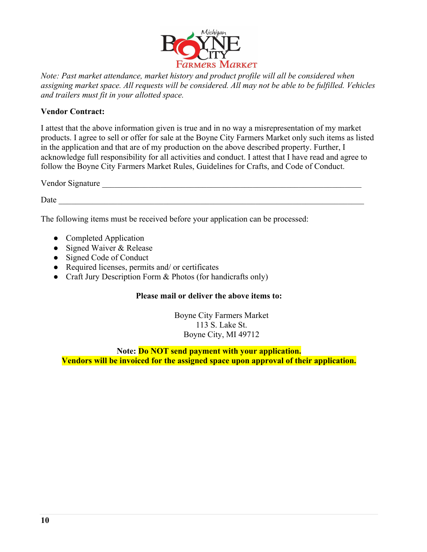

*Note: Past market attendance, market history and product profile will all be considered when assigning market space. All requests will be considered. All may not be able to be fulfilled. Vehicles and trailers must fit in your allotted space.*

#### **Vendor Contract:**

I attest that the above information given is true and in no way a misrepresentation of my market products. I agree to sell or offer for sale at the Boyne City Farmers Market only such items as listed in the application and that are of my production on the above described property. Further, I acknowledge full responsibility for all activities and conduct. I attest that I have read and agree to follow the Boyne City Farmers Market Rules, Guidelines for Crafts, and Code of Conduct.

Vendor Signature

 $Date$   $_$ 

The following items must be received before your application can be processed:

- Completed Application
- Signed Waiver & Release
- Signed Code of Conduct
- Required licenses, permits and/ or certificates
- Craft Jury Description Form & Photos (for handicrafts only)

#### **Please mail or deliver the above items to:**

Boyne City Farmers Market 113 S. Lake St. Boyne City, MI 49712

**Note: Do NOT send payment with your application. Vendors will be invoiced for the assigned space upon approval of their application.**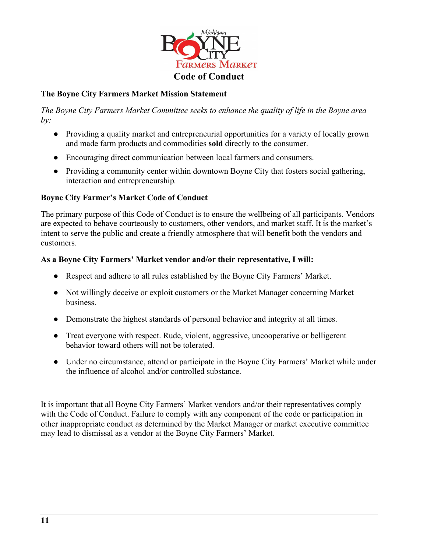

### **The Boyne City Farmers Market Mission Statement**

*The Boyne City Farmers Market Committee seeks to enhance the quality of life in the Boyne area by:*

- Providing a quality market and entrepreneurial opportunities for a variety of locally grown and made farm products and commodities **sold** directly to the consumer.
- Encouraging direct communication between local farmers and consumers.
- Providing a community center within downtown Boyne City that fosters social gathering, interaction and entrepreneurship*.*

### **Boyne City Farmer's Market Code of Conduct**

The primary purpose of this Code of Conduct is to ensure the wellbeing of all participants. Vendors are expected to behave courteously to customers, other vendors, and market staff. It is the market's intent to serve the public and create a friendly atmosphere that will benefit both the vendors and customers.

#### **As a Boyne City Farmers' Market vendor and/or their representative, I will:**

- Respect and adhere to all rules established by the Boyne City Farmers' Market.
- Not willingly deceive or exploit customers or the Market Manager concerning Market business.
- Demonstrate the highest standards of personal behavior and integrity at all times.
- Treat everyone with respect. Rude, violent, aggressive, uncooperative or belligerent behavior toward others will not be tolerated.
- Under no circumstance, attend or participate in the Boyne City Farmers' Market while under the influence of alcohol and/or controlled substance.

It is important that all Boyne City Farmers' Market vendors and/or their representatives comply with the Code of Conduct. Failure to comply with any component of the code or participation in other inappropriate conduct as determined by the Market Manager or market executive committee may lead to dismissal as a vendor at the Boyne City Farmers' Market.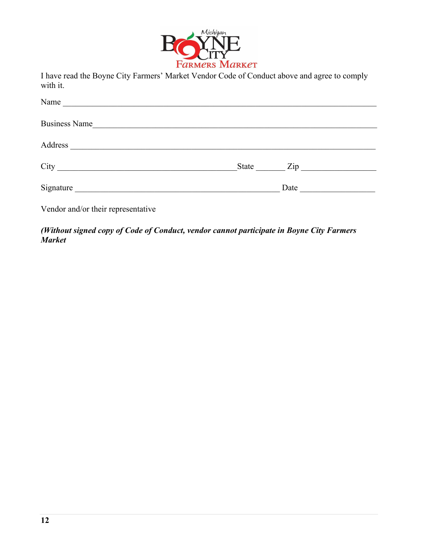

I have read the Boyne City Farmers' Market Vendor Code of Conduct above and agree to comply with it.

| Name                               |           |
|------------------------------------|-----------|
| Business Name                      |           |
|                                    |           |
|                                    | State Zip |
|                                    | Date      |
| Vendor and/or their representative |           |

*(Without signed copy of Code of Conduct, vendor cannot participate in Boyne City Farmers Market*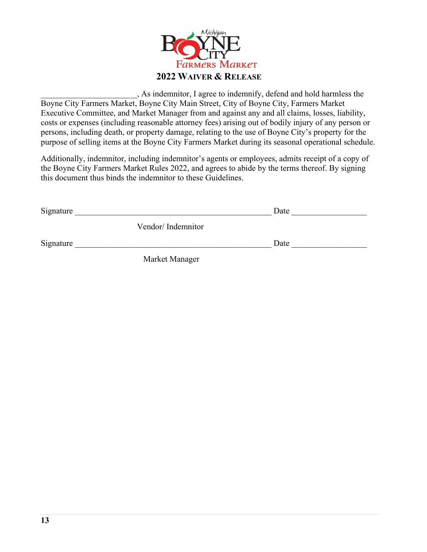

\_\_\_\_\_\_\_\_\_\_\_\_\_\_\_\_\_\_\_\_\_\_\_, As indemnitor, I agree to indemnify, defend and hold harmless the Boyne City Farmers Market, Boyne City Main Street, City of Boyne City, Farmers Market Executive Committee, and Market Manager from and against any and all claims, losses, liability, costs or expenses (including reasonable attorney fees) arising out of bodily injury of any person or persons, including death, or property damage, relating to the use of Boyne City's property for the purpose of selling items at the Boyne City Farmers Market during its seasonal operational schedule.

Additionally, indemnitor, including indemnitor's agents or employees, admits receipt of a copy of the Boyne City Farmers Market Rules 2022, and agrees to abide by the terms thereof. By signing this document thus binds the indemnitor to these Guidelines.

| Signature |                   | Date |  |
|-----------|-------------------|------|--|
|           | Vendor/Indemnitor |      |  |
| Signature |                   | Date |  |
|           | Market Manager    |      |  |

Market Manager